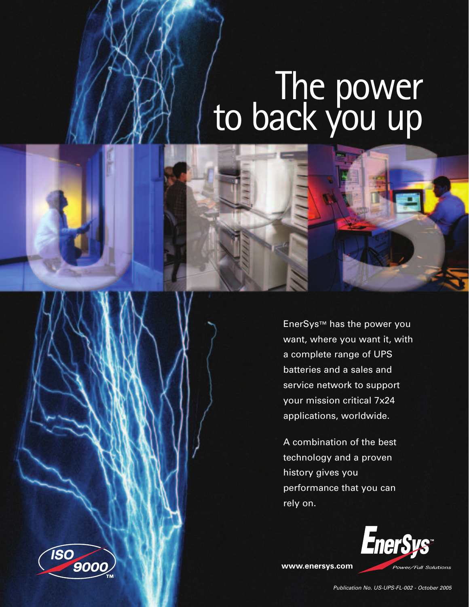# The power<br>to back you up



A combination of the best technology and a proven history gives you performance that you can rely on.



**www.enersys.com**



Publication No. US-UPS-FL-002 - October 2005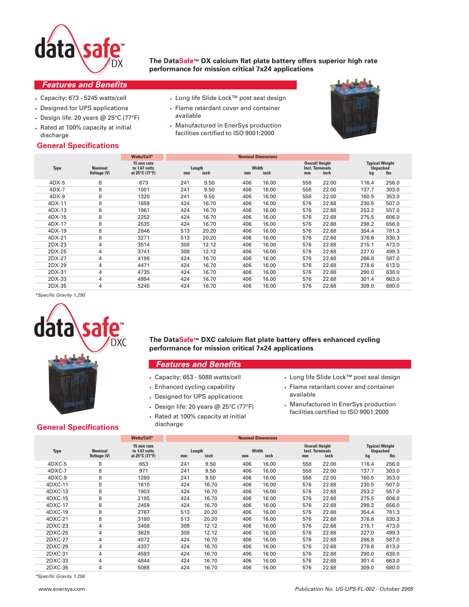

**The DataSafe™ DX calcium flat plate battery offers superior high rate performance for mission critical 7x24 applications**

# **Features and Benefits**

- Capacity: 673 5245 watts/cell
- Designed for UPS applications
- Design life: 20 years @ 25°C (77°F)
- Rated at 100% capacity at initial discharge

# **General Specifications**

- Long life Slide Lock™ post seal design
- Flame retardant cover and container available
- Manufactured in EnerSys production facilities certified to ISO 9001:2000



|                                      | Watts/Cell*                                    |                      |       |                     |       |                           |       |                                          |                                          |
|--------------------------------------|------------------------------------------------|----------------------|-------|---------------------|-------|---------------------------|-------|------------------------------------------|------------------------------------------|
| <b>Nominal</b><br><b>Voltage (V)</b> | 15 min rate<br>to 1.67 volts<br>at 25°C (77°F) | Length<br>inch<br>mm |       | Width<br>inch<br>mm |       | mm                        | inch  | kg                                       | <b>Ibs</b>                               |
| 8                                    | 673                                            | 241                  | 9.50  | 406                 | 16.00 | 558                       | 22.00 | 116.4                                    | 256.0                                    |
| 8                                    | 1001                                           | 241                  | 9.50  | 406                 | 16.00 | 558                       | 22.00 | 137.7                                    | 303.0                                    |
| 8                                    | 1320                                           | 241                  | 9.50  | 406                 | 16.00 | 558                       | 22.00 | 160.5                                    | 353.0                                    |
| 8                                    | 1659                                           | 424                  | 16.70 | 406                 | 16.00 | 576                       | 22.68 | 230.5                                    | 507.0                                    |
| 8                                    | 1961                                           | 424                  | 16.70 | 406                 | 16.00 | 576                       | 22.68 | 253.2                                    | 557.0                                    |
| 8                                    | 2252                                           | 424                  | 16.70 | 406                 | 16.00 | 576                       | 22.68 | 275.5                                    | 606.0                                    |
| 8                                    | 2535                                           | 424                  | 16.70 | 406                 | 16.00 | 576                       | 22.68 | 298.2                                    | 656.0                                    |
| 8                                    | 2846                                           | 513                  | 20.20 | 406                 | 16.00 | 576                       | 22.68 | 354.4                                    | 781.3                                    |
| 8                                    | 3271                                           | 513                  | 20.20 | 406                 | 16.00 | 576                       | 22.68 | 376.6                                    | 830.3                                    |
| 4                                    | 3514                                           | 308                  | 12.12 | 406                 | 16.00 | 576                       | 22.68 | 215.1                                    | 473.0                                    |
| 4                                    | 3741                                           | 308                  | 12.12 | 406                 | 16.00 | 576                       | 22.68 | 227.0                                    | 499.3                                    |
| 4                                    | 4198                                           | 424                  | 16.70 | 406                 | 16.00 | 576                       | 22.68 | 266.8                                    | 587.0                                    |
| 4                                    | 4471                                           | 424                  | 16.70 | 406                 | 16.00 | 576                       | 22.68 | 278.6                                    | 613.0                                    |
| 4                                    | 4735                                           | 424                  | 16.70 | 406                 | 16.00 | 576                       | 22.68 | 290.0                                    | 638.0                                    |
| 4                                    | 4994                                           | 424                  | 16.70 | 406                 | 16.00 | 576                       | 22.68 | 301.4                                    | 663.0                                    |
| 4                                    | 5245                                           | 424                  | 16.70 | 406                 | 16.00 | 576                       | 22.68 | 309.0                                    | 680.0                                    |
|                                      |                                                |                      |       |                     |       | <b>Nominal Dimensions</b> |       | <b>Overall Height</b><br>Incl. Terminals | <b>Typical Weight</b><br><b>Unpacked</b> |

\*Specific Gravity 1.250



**The DataSafe™ DXC calcium flat plate battery offers enhanced cycling performance for mission critical 7x24 applications**

#### **Features and Benefits**

- Capacity: 653 5088 watts/cell
- Enhanced cycling capability
- Designed for UPS applications
- Design life: 20 years  $@$  25 $°C$  (77 $°F$ )
- Rated at 100% capacity at initial
- discharge
- Long life Slide Lock™ post seal design
- Flame retardant cover and container available
- Manufactured in EnerSys production facilities certified to ISO 9001:2000

# **General Specifications**

|             |                                      | Watts/Cell*                                    |              |       |             |       |                                                       |       |                                                |            |  |
|-------------|--------------------------------------|------------------------------------------------|--------------|-------|-------------|-------|-------------------------------------------------------|-------|------------------------------------------------|------------|--|
| <b>Type</b> | <b>Nominal</b><br><b>Voltage (V)</b> | 15 min rate<br>to 1.67 volts<br>at 25°C (77°F) | Length<br>mm | inch  | Width<br>mm | inch  | <b>Overall Height</b><br><b>Incl. Terminals</b><br>mm | inch  | <b>Typical Weight</b><br><b>Unpacked</b><br>kg | <b>Ibs</b> |  |
| $4DXC-5$    | 8                                    | 653                                            | 241          | 9.50  | 406         | 16.00 | 558                                                   | 22.00 | 116.4                                          | 256.0      |  |
| $4DXC-7$    | 8                                    | 971                                            | 241          | 9.50  | 406         | 16.00 | 558                                                   | 22.00 | 137.7                                          | 303.0      |  |
| 4DXC-9      | 8                                    | 1280                                           | 241          | 9.50  | 406         | 16.00 | 558                                                   | 22.00 | 160.5                                          | 353.0      |  |
| 4DXC-11     | 8                                    | 1610                                           | 424          | 16.70 | 406         | 16.00 | 576                                                   | 22.68 | 230.5                                          | 507.0      |  |
| 4DXC-13     | 8                                    | 1903                                           | 424          | 16.70 | 406         | 16.00 | 576                                                   | 22.68 | 253.2                                          | 557.0      |  |
| 4DXC-15     | 8                                    | 2185                                           | 424          | 16.70 | 406         | 16.00 | 576                                                   | 22.68 | 275.5                                          | 606.0      |  |
| 4DXC-17     | 8                                    | 2459                                           | 424          | 16.70 | 406         | 16.00 | 576                                                   | 22.68 | 298.2                                          | 656.0      |  |
| 4DXC-19     | 8                                    | 2767                                           | 513          | 20.20 | 406         | 16.00 | 576                                                   | 22.68 | 354.4                                          | 781.3      |  |
| 4DXC-21     | 8                                    | 3180                                           | 513          | 20.20 | 406         | 16.00 | 576                                                   | 22.68 | 376.6                                          | 830.3      |  |
| 2DXC-23     | 4                                    | 3408                                           | 308          | 12.12 | 406         | 16.00 | 576                                                   | 22.68 | 215.1                                          | 473.0      |  |
| 2DXC-25     | 4                                    | 3628                                           | 308          | 12.12 | 406         | 16.00 | 576                                                   | 22.68 | 227.0                                          | 499.3      |  |
| 2DXC-27     | 4                                    | 4072                                           | 424          | 16.70 | 406         | 16.00 | 576                                                   | 22.68 | 266.8                                          | 587.0      |  |
| 2DXC-29     | 4                                    | 4337                                           | 424          | 16.70 | 406         | 16.00 | 576                                                   | 22.68 | 278.6                                          | 613.0      |  |
| 2DXC-31     | 4                                    | 4593                                           | 424          | 16.70 | 406         | 16.00 | 576                                                   | 22.68 | 290.0                                          | 638.0      |  |
| 2DXC-33     | 4                                    | 4844                                           | 424          | 16.70 | 406         | 16.00 | 576                                                   | 22.68 | 301.4                                          | 663.0      |  |
| 2DXC-35     | 4                                    | 5088                                           | 424          | 16.70 | 406         | 16.00 | 576                                                   | 22.68 | 309.0                                          | 680.0      |  |

\*Specific Gravity 1.250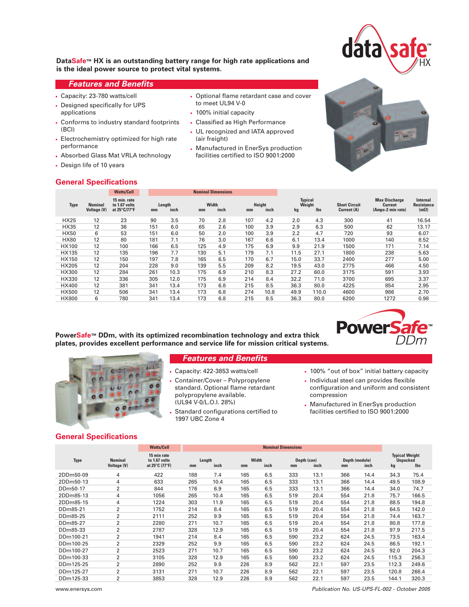

## **DataSafe™ HX is an outstanding battery range for high rate applications and is the ideal power source to protect vital systems.**

# **Features and Benefits**

- Capacity: 23-780 watts/cell
- Designed specifically for UPS applications
- Conforms to industry standard footprints (BCI)
- Electrochemistry optimized for high rate performance
- Absorbed Glass Mat VRLA technology
- Design life of 10 years

#### • Optional flame retardant case and cover to meet UL94 V-0

- 100% initial capacity
- Classified as High Performance
- UL recognized and IATA approved (air freight)
- Manufactured in EnerSys production facilities certified to ISO 9001:2000



## **General Specifications**

|              |                                      | <b>Watts/Cell</b>                             | <b>Nominal Dimensions</b> |                |     |               |     |                |                                |            |                                     |                                                             |                                              |
|--------------|--------------------------------------|-----------------------------------------------|---------------------------|----------------|-----|---------------|-----|----------------|--------------------------------|------------|-------------------------------------|-------------------------------------------------------------|----------------------------------------------|
| <b>Type</b>  | <b>Nominal</b><br><b>Voltage (V)</b> | 15 min. rate<br>to 1.67 volts<br>at 25°C/77°F | mm                        | Length<br>inch | mm  | Width<br>inch | mm  | Height<br>inch | <b>Typical</b><br>Weight<br>kg | <b>lbs</b> | <b>Short Circuit</b><br>Current (A) | <b>Max Discharge</b><br><b>Current</b><br>(Amps-2 min rate) | Internal<br><b>Resistance</b><br>$(m\Omega)$ |
| <b>HX25</b>  | 12                                   | 23                                            | 90                        | 3.5            | 70  | 2.8           | 107 | 4.2            | 2.0                            | 4.3        | 300                                 | 41                                                          | 16.54                                        |
| <b>HX35</b>  | 12                                   | 36                                            | 151                       | 6.0            | 65  | 2.6           | 100 | 3.9            | 2.9                            | 6.3        | 500                                 | 62                                                          | 13.17                                        |
| <b>HX50</b>  | 6                                    | 53                                            | 151                       | 6.0            | 50  | 2.0           | 100 | 3.9            | 2.2                            | 4.7        | 720                                 | 93                                                          | 6.07                                         |
| <b>HX80</b>  | 12                                   | 80                                            | 181                       | 7.1            | 76  | 3.0           | 167 | 6.6            | 6.1                            | 13.4       | 1000                                | 140                                                         | 8.52                                         |
| HX100        | 12                                   | 100                                           | 166                       | 6.5            | 125 | 4.9           | 175 | 6.9            | 9.9                            | 21.9       | 1500                                | 171                                                         | 7.14                                         |
| HX135        | 12                                   | 135                                           | 196                       | 7.7            | 130 | 5.1           | 179 | 7.1            | 11.5                           | 27.1       | 1800                                | 238                                                         | 5.63                                         |
| HX150        | 12                                   | 150                                           | 197                       | 7.8            | 165 | 6.5           | 170 | 6.7            | 15.0                           | 33.7       | 2400                                | 277                                                         | 5.00                                         |
| <b>HX205</b> | 12                                   | 204                                           | 228                       | 9.0            | 139 | 5.5           | 209 | 8.2            | 19.5                           | 43.0       | 2775                                | 466                                                         | 4.50                                         |
| HX300        | 12                                   | 284                                           | 261                       | 10.3           | 175 | 6.9           | 210 | 8.3            | 27.2                           | 60.0       | 3175                                | 591                                                         | 3.93                                         |
| HX330        | 12                                   | 336                                           | 305                       | 12.0           | 175 | 6.9           | 214 | 8.4            | 32.2                           | 71.0       | 3700                                | 695                                                         | 3.37                                         |
| HX400        | 12                                   | 381                                           | 341                       | 13.4           | 173 | 6.8           | 215 | 8.5            | 36.3                           | 80.0       | 4225                                | 854                                                         | 2.95                                         |
| <b>HX500</b> | 12                                   | 506                                           | 341                       | 13.4           | 173 | 6.8           | 274 | 10.8           | 49.9                           | 110.0      | 4600                                | 986                                                         | 2.70                                         |
| <b>HX800</b> | 6                                    | 780                                           | 341                       | 13.4           | 173 | 6.8           | 215 | 8.5            | 36.3                           | 80.0       | 6200                                | 1272                                                        | 0.98                                         |

**PowerSafe™ DDm, with its optimized recombination technology and extra thick plates, provides excellent performance and service life for mission critical systems.**





#### **Features and Benefits**

- Capacity: 422-3853 watts/cell
- Container/Cover Polypropylene standard. Optional flame retardant polypropylene available. (UL94 V-0/L.O.I. 28%)
- Standard configurations certified to 1997 UBC Zone 4
- 100% "out of box" initial battery capacity
- Individual steel can provides flexible configuration and uniform and consistent compression
- Manufactured in EnerSys production facilities certified to ISO 9001:2000

## **General Specifications**

|             |                                      | <b>Watts/Cell</b><br><b>Nominal Dimensions</b> |     |                |             |      |     |                     |                      |      |                                         |            |
|-------------|--------------------------------------|------------------------------------------------|-----|----------------|-------------|------|-----|---------------------|----------------------|------|-----------------------------------------|------------|
| <b>Type</b> | <b>Nominal</b><br><b>Voltage (V)</b> | 15 min rate<br>to 1.67 volts<br>at 25°C (77°F) | mm  | Length<br>inch | Width<br>mm | inch | mm  | Depth (can)<br>inch | Depth (module)<br>mm | inch | <b>Typical Weight</b><br>Unpacked<br>kg | <b>Ibs</b> |
| 2DDm50-09   | 4                                    | 422                                            | 188 | 7.4            | 165         | 6.5  | 333 | 13.1                | 366                  | 14.4 | 34.3                                    | 75.4       |
| 2DDm50-13   | 4                                    | 633                                            | 265 | 10.4           | 165         | 6.5  | 333 | 13.1                | 366                  | 14.4 | 49.5                                    | 108.9      |
| DDm50-17    | 2                                    | 844                                            | 176 | 6.9            | 165         | 6.5  | 333 | 13.1                | 366                  | 14.4 | 34.0                                    | 74.7       |
| 2DDm85-13   | 4                                    | 1056                                           | 265 | 10.4           | 165         | 6.5  | 519 | 20.4                | 554                  | 21.8 | 75.7                                    | 166.5      |
| 2DDm85-15   | 4                                    | 1224                                           | 303 | 11.9           | 165         | 6.5  | 519 | 20.4                | 554                  | 21.8 | 88.5                                    | 194.8      |
| DDm85-21    | $\overline{2}$                       | 1752                                           | 214 | 8.4            | 165         | 6.5  | 519 | 20.4                | 554                  | 21.8 | 64.5                                    | 142.0      |
| DDm85-25    | $\overline{2}$                       | 2111                                           | 252 | 9.9            | 165         | 6.5  | 519 | 20.4                | 554                  | 21.8 | 74.4                                    | 163.7      |
| DDm85-27    | 2                                    | 2280                                           | 271 | 10.7           | 165         | 6.5  | 519 | 20.4                | 554                  | 21.8 | 80.8                                    | 177.8      |
| DDm85-33    | 2                                    | 2787                                           | 328 | 12.9           | 165         | 6.5  | 519 | 20.4                | 554                  | 21.8 | 97.9                                    | 217.5      |
| DDm100-21   | $\overline{2}$                       | 1941                                           | 214 | 8.4            | 165         | 6.5  | 590 | 23.2                | 624                  | 24.5 | 73.5                                    | 163.4      |
| DDm100-25   | 2                                    | 2329                                           | 252 | 9.9            | 165         | 6.5  | 590 | 23.2                | 624                  | 24.5 | 86.5                                    | 192.1      |
| DDm100-27   | $\overline{2}$                       | 2523                                           | 271 | 10.7           | 165         | 6.5  | 590 | 23.2                | 624                  | 24.5 | 92.0                                    | 204.3      |
| DDm100-33   | $\overline{2}$                       | 3105                                           | 328 | 12.9           | 165         | 6.5  | 590 | 23.2                | 624                  | 24.5 | 115.3                                   | 256.3      |
| DDm125-25   | 2                                    | 2890                                           | 252 | 9.9            | 226         | 8.9  | 562 | 22.1                | 597                  | 23.5 | 112.3                                   | 249.6      |
| DDm125-27   | $\overline{2}$                       | 3131                                           | 271 | 10.7           | 226         | 8.9  | 562 | 22.1                | 597                  | 23.5 | 120.8                                   | 268.4      |
| DDm125-33   | 2                                    | 3853                                           | 328 | 12.9           | 226         | 8.9  | 562 | 22.1                | 597                  | 23.5 | 144.1                                   | 320.3      |